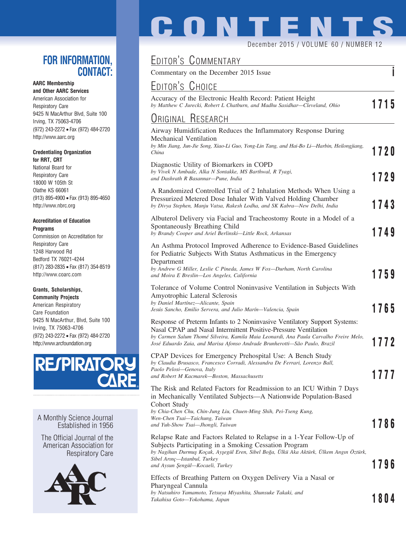#### **FOR INFORMATION, CONTACT:**

#### **AARC Membership**

**and Other AARC Services** American Association for Respiratory Care 9425 N MacArthur Blvd, Suite 100 Irving, TX 75063-4706 (972) 243-2272 • Fax (972) 484-2720 http://www.aarc.org

#### **Credentialing Organization for RRT, CRT**

National Board for Respiratory Care 18000 W 105th St Olathe KS 66061 (913) 895-4900 • Fax (913) 895-4650 http://www.nbrc.org

#### **Accreditation of Education Programs**

Commission on Accreditation for Respiratory Care 1248 Harwood Rd Bedford TX 76021-4244 (817) 283-2835 • Fax (817) 354-8519 http://www.coarc.com

#### **Grants, Scholarships,**

**Community Projects** American Respiratory Care Foundation 9425 N MacArthur, Blvd, Suite 100 Irving, TX 75063-4706 (972) 243-2272 • Fax (972) 484-2720 http://www.arcfoundation.org



A Monthly Science Journal Established in 1956

The Official Journal of the American Association for Respiratory Care



# **CONTENTS**

December 2015 / VOLUME 60 / NUMBER 12

# EDITOR'S COMMENTARY

Commentary on the December 2015 Issue **i**

## EDITOR'S CHOICE

Accuracy of the Electronic Health Record: Patient Height *by Matthew C Jurecki, Robert L Chatburn, and Madhu Sasidhar—Cleveland, Ohio* **1715**

#### ORIGINAL RESEARCH

| Airway Humidification Reduces the Inflammatory Response During<br>Mechanical Ventilation<br>by Min Jiang, Jun-Jie Song, Xiao-Li Guo, Yong-Lin Tang, and Hai-Bo Li—Harbin, Heilongjiang,                                                                                                                             |      |
|---------------------------------------------------------------------------------------------------------------------------------------------------------------------------------------------------------------------------------------------------------------------------------------------------------------------|------|
| China                                                                                                                                                                                                                                                                                                               | 1720 |
| Diagnostic Utility of Biomarkers in COPD<br>by Vivek N Ambade, Alka N Sontakke, MS Barthwal, R Tyagi,<br>and Dashrath R Basannar-Pune, India                                                                                                                                                                        | 1729 |
| A Randomized Controlled Trial of 2 Inhalation Methods When Using a<br>Pressurized Metered Dose Inhaler With Valved Holding Chamber<br>by Divya Stephen, Manju Vatsa, Rakesh Lodha, and SK Kabra-New Delhi, India                                                                                                    | 1743 |
| Albuterol Delivery via Facial and Tracheostomy Route in a Model of a<br>Spontaneously Breathing Child<br>by Brandy Cooper and Ariel Berlinski-Little Rock, Arkansas                                                                                                                                                 | 1749 |
| An Asthma Protocol Improved Adherence to Evidence-Based Guidelines<br>for Pediatric Subjects With Status Asthmaticus in the Emergency<br>Department                                                                                                                                                                 |      |
| by Andrew G Miller, Leslie C Pineda, James W Fox—Durham, North Carolina<br>and Moira E Breslin-Los Angeles, California                                                                                                                                                                                              | 1759 |
| Tolerance of Volume Control Noninvasive Ventilation in Subjects With<br>Amyotrophic Lateral Sclerosis<br>by Daniel Martínez-Alicante, Spain                                                                                                                                                                         |      |
| Jesús Sancho, Emilio Servera, and Julio Marín—Valencia, Spain                                                                                                                                                                                                                                                       | 1765 |
| Response of Preterm Infants to 2 Noninvasive Ventilatory Support Systems:<br>Nasal CPAP and Nasal Intermittent Positive-Pressure Ventilation<br>by Carmen Salum Thomé Silveira, Kamila Maia Leonardi, Ana Paula Carvalho Freire Melo,<br>José Eduardo Zaia, and Marisa Afonso Andrade Brunherotti-São Paulo, Brazil | 1772 |
| CPAP Devices for Emergency Prehospital Use: A Bench Study<br>by Claudia Brusasco, Francesco Corradi, Alessandra De Ferrari, Lorenzo Ball,                                                                                                                                                                           |      |
| Paolo Pelosi-Genova, Italy<br>and Robert M Kacmarek-Boston, Massachusetts                                                                                                                                                                                                                                           | 1777 |
| The Risk and Related Factors for Readmission to an ICU Within 7 Days<br>in Mechanically Ventilated Subjects-A Nationwide Population-Based<br>Cohort Study                                                                                                                                                           |      |
| by Chia-Chen Chu, Chin-Jung Liu, Chuen-Ming Shih, Pei-Tseng Kung,<br>Wen-Chen Tsai-Taichung, Taiwan<br>and Yuh-Show Tsai—Jhongli, Taiwan                                                                                                                                                                            | 1786 |
| Relapse Rate and Factors Related to Relapse in a 1-Year Follow-Up of<br>Subjects Participating in a Smoking Cessation Program<br>by Nagihan Durmuş Koçak, Ayşegül Eren, Sibel Boğa, Ulkü Aka Aktürk, Ulkem Angın Oztürk,<br>Sibel Arınç—Istanbul, Turkey<br>and Aysun Şengül—Kocaeli, Turkey                        | 1796 |
| Effects of Breathing Pattern on Oxygen Delivery Via a Nasal or                                                                                                                                                                                                                                                      |      |
| Pharyngeal Cannula                                                                                                                                                                                                                                                                                                  |      |
| by Natsuhiro Yamamoto, Tetsuya Miyashita, Shunsuke Takaki, and<br>Takahisa Goto—Yokohama, Japan                                                                                                                                                                                                                     | 1804 |